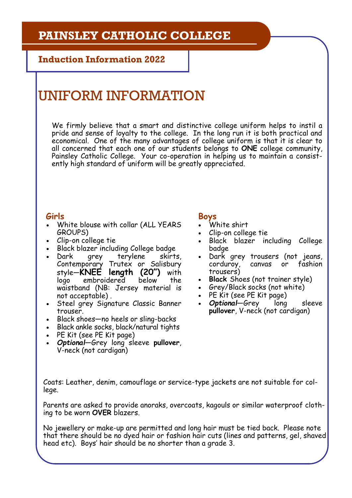## **PAINSLEY CATHOLIC COLLEGE**

**Induction Information 2022**

# UNIFORM INFORMATION

We firmly believe that a smart and distinctive college uniform helps to instil a pride and sense of loyalty to the college. In the long run it is both practical and economical. One of the many advantages of college uniform is that it is clear to all concerned that each one of our students belongs to **ONE** college community, Painsley Catholic College. Your co-operation in helping us to maintain a consistently high standard of uniform will be greatly appreciated.

### **Girls**

- White blouse with collar (ALL YEARS GROUPS)
- Clip-on college tie
- Black blazer including College badge
- Dark grey terylene skirts, Contemporary Trutex or Salisbury style—**KNEE length (20")** with logo embroidered below the waistband (NB: Jersey material is not acceptable) .
- Steel grey Signature Classic Banner trouser.
- Black shoes—no heels or sling-backs
- Black ankle socks, black/natural tights
- PE Kit (see PE Kit page)
- *Optional*—Grey long sleeve **pullover**, V-neck (not cardigan)

### **Boys**

- White shirt
- Clip-on college tie
- Black blazer including College badge
- Dark grey trousers (not jeans, corduroy, canvas or fashion trousers)
- **Black** Shoes (not trainer style)
- Grey/Black socks (not white)
- PE Kit (see PE Kit page)
- *Optional*—Grey long sleeve **pullover**, V-neck (not cardigan)

Coats: Leather, denim, camouflage or service-type jackets are not suitable for college.

Parents are asked to provide anoraks, overcoats, kagouls or similar waterproof clothing to be worn **OVER** blazers.

No jewellery or make-up are permitted and long hair must be tied back. Please note that there should be no dyed hair or fashion hair cuts (lines and patterns, gel, shaved head etc). Boys' hair should be no shorter than a grade 3.